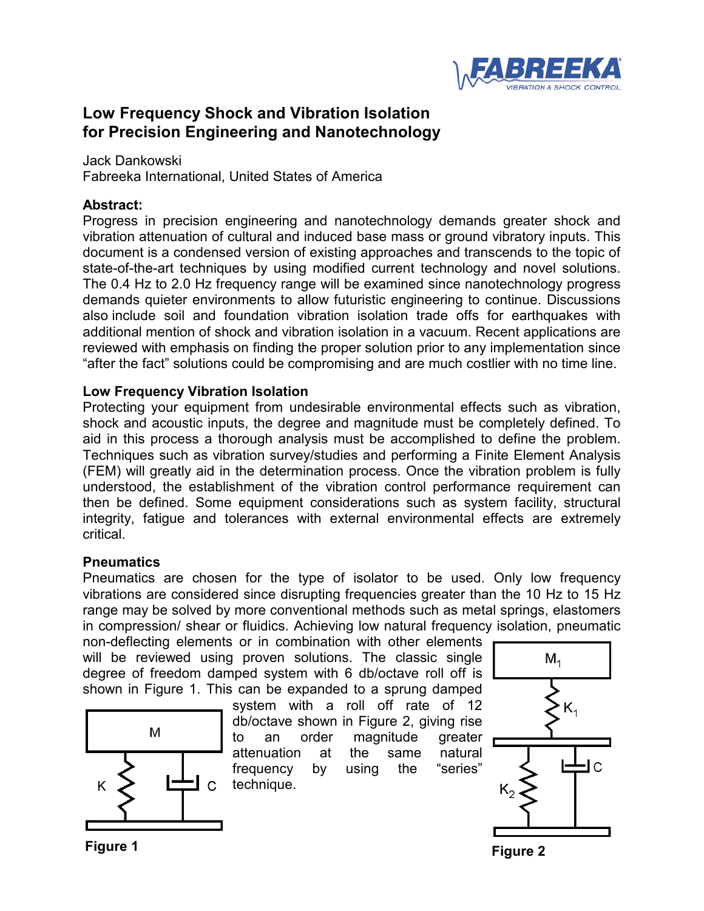

# **Low Frequency Shock and Vibration Isolation for Precision Engineering and Nanotechnology**

Jack Dankowski Fabreeka International, United States of America

## **Abstract:**

Progress in precision engineering and nanotechnology demands greater shock and vibration attenuation of cultural and induced base mass or ground vibratory inputs. This document is a condensed version of existing approaches and transcends to the topic of state-of-the-art techniques by using modified current technology and novel solutions. The 0.4 Hz to 2.0 Hz frequency range will be examined since nanotechnology progress demands quieter environments to allow futuristic engineering to continue. Discussions also include soil and foundation vibration isolation trade offs for earthquakes with additional mention of shock and vibration isolation in a vacuum. Recent applications are reviewed with emphasis on finding the proper solution prior to any implementation since "after the fact" solutions could be compromising and are much costlier with no time line.

## **Low Frequency Vibration Isolation**

Protecting your equipment from undesirable environmental effects such as vibration, shock and acoustic inputs, the degree and magnitude must be completely defined. To aid in this process a thorough analysis must be accomplished to define the problem. Techniques such as vibration survey/studies and performing a Finite Element Analysis (FEM) will greatly aid in the determination process. Once the vibration problem is fully understood, the establishment of the vibration control performance requirement can then be defined. Some equipment considerations such as system facility, structural integrity, fatigue and tolerances with external environmental effects are extremely critical.

## **Pneumatics**

Pneumatics are chosen for the type of isolator to be used. Only low frequency vibrations are considered since disrupting frequencies greater than the 10 Hz to 15 Hz range may be solved by more conventional methods such as metal springs, elastomers in compression/ shear or fluidics. Achieving low natural frequency isolation, pneumatic

non-deflecting elements or in combination with other elements will be reviewed using proven solutions. The classic single degree of freedom damped system with 6 db/octave roll off is shown in Figure 1. This can be expanded to a sprung damped



system with a roll off rate of 12 db/octave shown in Figure 2, giving rise to an order magnitude greater attenuation at the same natural frequency by using the "series" technique.



**Figure 1**

**Figure 2**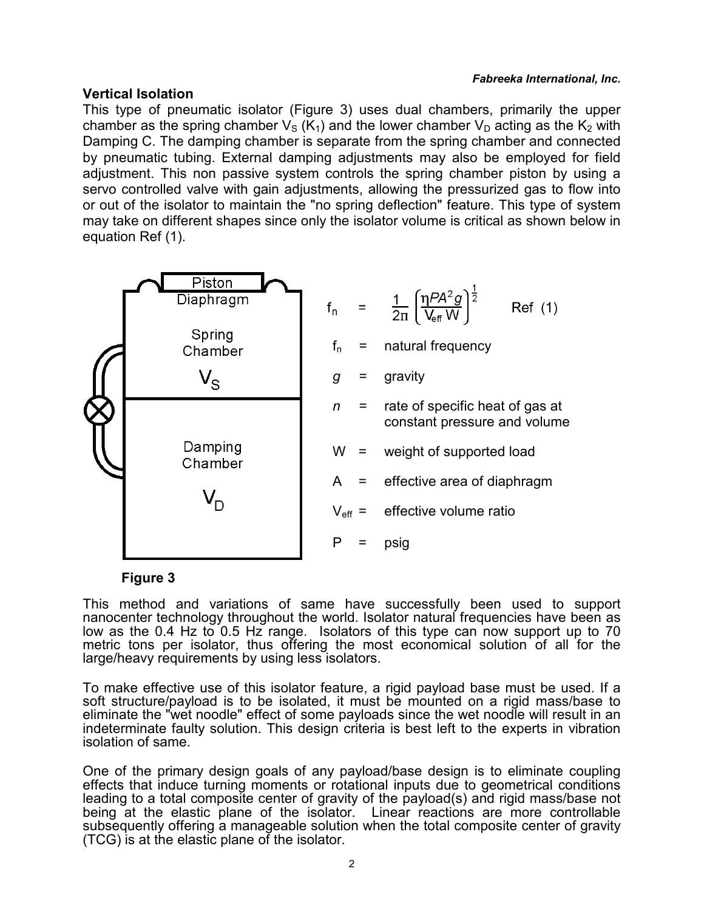### *Fabreeka International, Inc.*

### **Vertical Isolation**

This type of pneumatic isolator (Figure 3) uses dual chambers, primarily the upper chamber as the spring chamber  $V_S$  (K<sub>1</sub>) and the lower chamber  $V_D$  acting as the K<sub>2</sub> with Damping C. The damping chamber is separate from the spring chamber and connected by pneumatic tubing. External damping adjustments may also be employed for field adjustment. This non passive system controls the spring chamber piston by using a servo controlled valve with gain adjustments, allowing the pressurized gas to flow into or out of the isolator to maintain the "no spring deflection" feature. This type of system may take on different shapes since only the isolator volume is critical as shown below in equation Ref (1).



### **Figure 3**

This method and variations of same have successfully been used to support nanocenter technology throughout the world. Isolator natural frequencies have been as low as the 0.4 Hz to 0.5 Hz range. Isolators of this type can now support up to 70 metric tons per isolator, thus offering the most economical solution of all for the large/heavy requirements by using less isolators.

To make effective use of this isolator feature, a rigid payload base must be used. If a soft structure/payload is to be isolated, it must be mounted on a rigid mass/base to eliminate the "wet noodle" effect of some payloads since the wet noodle will result in an indeterminate faulty solution. This design criteria is best left to the experts in vibration isolation of same.

One of the primary design goals of any payload/base design is to eliminate coupling effects that induce turning moments or rotational inputs due to geometrical conditions leading to a total composite center of gravity of the payload(s) and rigid mass/base not being at the elastic plane of the isolator. Linear reactions are more controllable subsequently offering a manageable solution when the total composite center of gravity (TCG) is at the elastic plane of the isolator.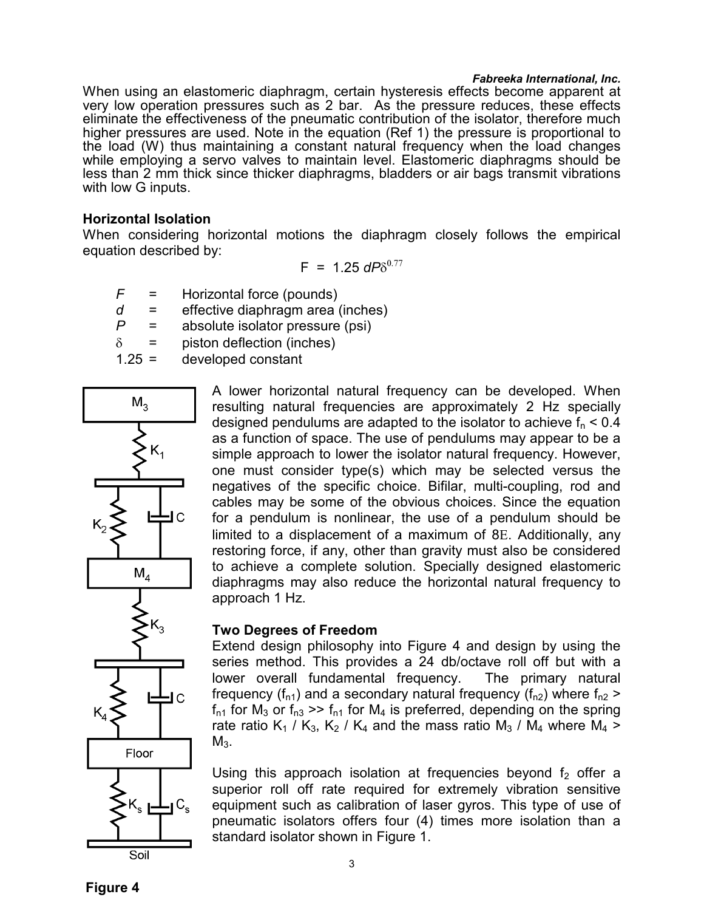#### *Fabreeka International, Inc.*

When using an elastomeric diaphragm, certain hysteresis effects become apparent at very low operation pressures such as 2 bar. As the pressure reduces, these effects eliminate the effectiveness of the pneumatic contribution of the isolator, therefore much higher pressures are used. Note in the equation (Ref 1) the pressure is proportional to the load (W) thus maintaining a constant natural frequency when the load changes while employing a servo valves to maintain level. Elastomeric diaphragms should be less than 2 mm thick since thicker diaphragms, bladders or air bags transmit vibrations with low G inputs.

### **Horizontal Isolation**

When considering horizontal motions the diaphragm closely follows the empirical equation described by:

$$
F = 1.25 \text{ d}P\delta^{0.77}
$$

- *F* = Horizontal force (pounds)
- *d* = effective diaphragm area (inches)
- *P* = absolute isolator pressure (psi)
- $\delta$  = piston deflection (inches)
- 1.25 = developed constant



A lower horizontal natural frequency can be developed. When resulting natural frequencies are approximately 2 Hz specially designed pendulums are adapted to the isolator to achieve  $f_n < 0.4$ as a function of space. The use of pendulums may appear to be a simple approach to lower the isolator natural frequency. However, one must consider type(s) which may be selected versus the negatives of the specific choice. Bifilar, multi-coupling, rod and cables may be some of the obvious choices. Since the equation for a pendulum is nonlinear, the use of a pendulum should be limited to a displacement of a maximum of 8E. Additionally, any restoring force, if any, other than gravity must also be considered to achieve a complete solution. Specially designed elastomeric diaphragms may also reduce the horizontal natural frequency to approach 1 Hz.

### **Two Degrees of Freedom**

Extend design philosophy into Figure 4 and design by using the series method. This provides a 24 db/octave roll off but with a lower overall fundamental frequency. The primary natural frequency ( $f_{n1}$ ) and a secondary natural frequency ( $f_{n2}$ ) where  $f_{n2}$  >  $f_{n1}$  for M<sub>3</sub> or  $f_{n3} \gg f_{n1}$  for M<sub>4</sub> is preferred, depending on the spring rate ratio K<sub>1</sub> / K<sub>3</sub>, K<sub>2</sub> / K<sub>4</sub> and the mass ratio M<sub>3</sub> / M<sub>4</sub> where M<sub>4</sub> >  $M<sub>3</sub>$ .

Using this approach isolation at frequencies beyond  $f<sub>2</sub>$  offer a superior roll off rate required for extremely vibration sensitive equipment such as calibration of laser gyros. This type of use of pneumatic isolators offers four (4) times more isolation than a standard isolator shown in Figure 1.